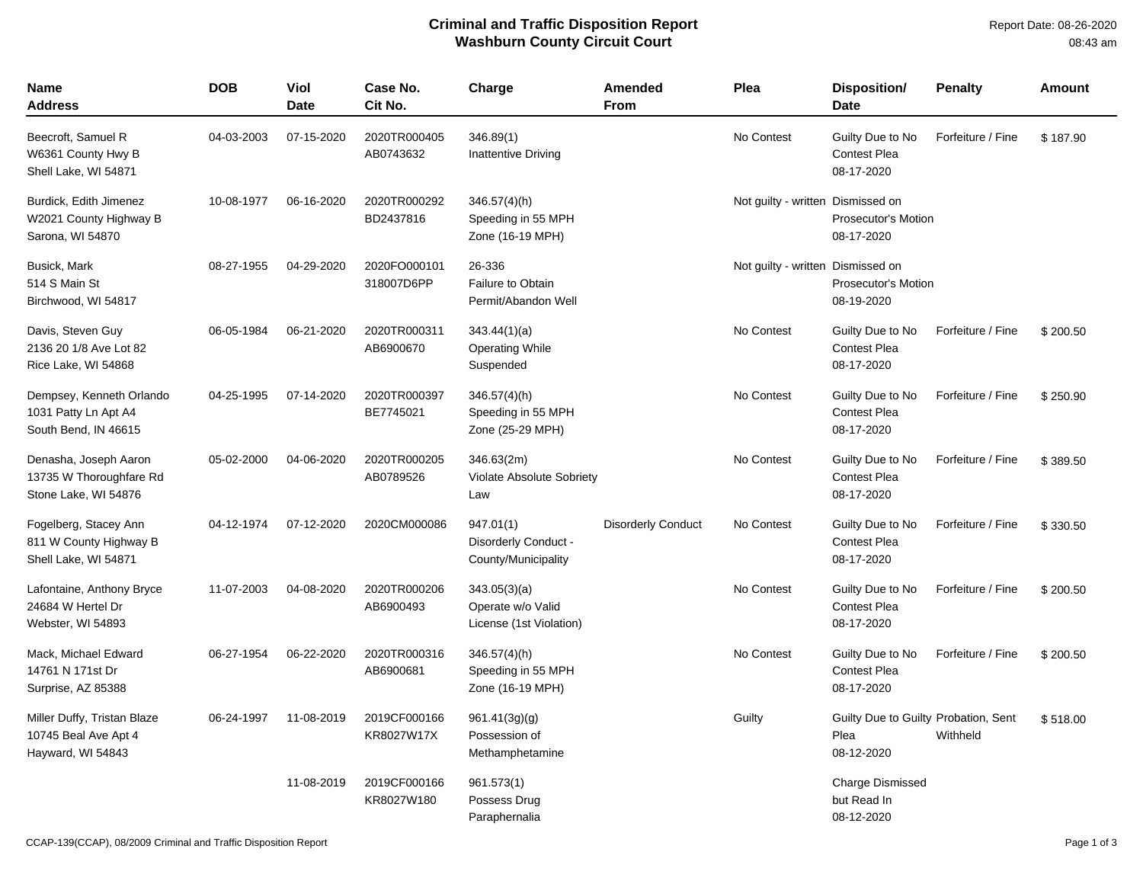## **Criminal and Traffic Disposition Report Washburn County Circuit Court**

| Name<br><b>Address</b>                                                   | <b>DOB</b> | Viol<br><b>Date</b> | Case No.<br>Cit No.        | Charge                                                       | Amended<br><b>From</b>    | Plea                              | Disposition/<br><b>Date</b>                                | <b>Penalty</b>    | Amount   |
|--------------------------------------------------------------------------|------------|---------------------|----------------------------|--------------------------------------------------------------|---------------------------|-----------------------------------|------------------------------------------------------------|-------------------|----------|
| Beecroft, Samuel R<br>W6361 County Hwy B<br>Shell Lake, WI 54871         | 04-03-2003 | 07-15-2020          | 2020TR000405<br>AB0743632  | 346.89(1)<br><b>Inattentive Driving</b>                      |                           | No Contest                        | Guilty Due to No<br><b>Contest Plea</b><br>08-17-2020      | Forfeiture / Fine | \$187.90 |
| Burdick, Edith Jimenez<br>W2021 County Highway B<br>Sarona, WI 54870     | 10-08-1977 | 06-16-2020          | 2020TR000292<br>BD2437816  | $346.57(4)$ (h)<br>Speeding in 55 MPH<br>Zone (16-19 MPH)    |                           | Not guilty - written Dismissed on | <b>Prosecutor's Motion</b><br>08-17-2020                   |                   |          |
| Busick, Mark<br>514 S Main St<br>Birchwood, WI 54817                     | 08-27-1955 | 04-29-2020          | 2020FO000101<br>318007D6PP | 26-336<br>Failure to Obtain<br>Permit/Abandon Well           |                           | Not guilty - written Dismissed on | <b>Prosecutor's Motion</b><br>08-19-2020                   |                   |          |
| Davis, Steven Guy<br>2136 20 1/8 Ave Lot 82<br>Rice Lake, WI 54868       | 06-05-1984 | 06-21-2020          | 2020TR000311<br>AB6900670  | 343.44(1)(a)<br><b>Operating While</b><br>Suspended          |                           | No Contest                        | Guilty Due to No<br><b>Contest Plea</b><br>08-17-2020      | Forfeiture / Fine | \$200.50 |
| Dempsey, Kenneth Orlando<br>1031 Patty Ln Apt A4<br>South Bend, IN 46615 | 04-25-1995 | 07-14-2020          | 2020TR000397<br>BE7745021  | $346.57(4)$ (h)<br>Speeding in 55 MPH<br>Zone (25-29 MPH)    |                           | No Contest                        | Guilty Due to No<br><b>Contest Plea</b><br>08-17-2020      | Forfeiture / Fine | \$250.90 |
| Denasha, Joseph Aaron<br>13735 W Thoroughfare Rd<br>Stone Lake, WI 54876 | 05-02-2000 | 04-06-2020          | 2020TR000205<br>AB0789526  | 346.63(2m)<br><b>Violate Absolute Sobriety</b><br>Law        |                           | No Contest                        | Guilty Due to No<br><b>Contest Plea</b><br>08-17-2020      | Forfeiture / Fine | \$389.50 |
| Fogelberg, Stacey Ann<br>811 W County Highway B<br>Shell Lake, WI 54871  | 04-12-1974 | 07-12-2020          | 2020CM000086               | 947.01(1)<br>Disorderly Conduct -<br>County/Municipality     | <b>Disorderly Conduct</b> | No Contest                        | Guilty Due to No<br><b>Contest Plea</b><br>08-17-2020      | Forfeiture / Fine | \$330.50 |
| Lafontaine, Anthony Bryce<br>24684 W Hertel Dr<br>Webster, WI 54893      | 11-07-2003 | 04-08-2020          | 2020TR000206<br>AB6900493  | 343.05(3)(a)<br>Operate w/o Valid<br>License (1st Violation) |                           | No Contest                        | Guilty Due to No<br><b>Contest Plea</b><br>08-17-2020      | Forfeiture / Fine | \$200.50 |
| Mack, Michael Edward<br>14761 N 171st Dr<br>Surprise, AZ 85388           | 06-27-1954 | 06-22-2020          | 2020TR000316<br>AB6900681  | 346.57(4)(h)<br>Speeding in 55 MPH<br>Zone (16-19 MPH)       |                           | No Contest                        | Guilty Due to No<br><b>Contest Plea</b><br>08-17-2020      | Forfeiture / Fine | \$200.50 |
| Miller Duffy, Tristan Blaze<br>10745 Beal Ave Apt 4<br>Hayward, WI 54843 | 06-24-1997 | 11-08-2019          | 2019CF000166<br>KR8027W17X | 961.41(3g)(g)<br>Possession of<br>Methamphetamine            |                           | Guilty                            | Guilty Due to Guilty Probation, Sent<br>Plea<br>08-12-2020 | Withheld          | \$518.00 |
|                                                                          |            | 11-08-2019          | 2019CF000166<br>KR8027W180 | 961.573(1)<br>Possess Drug<br>Paraphernalia                  |                           |                                   | <b>Charge Dismissed</b><br>but Read In<br>08-12-2020       |                   |          |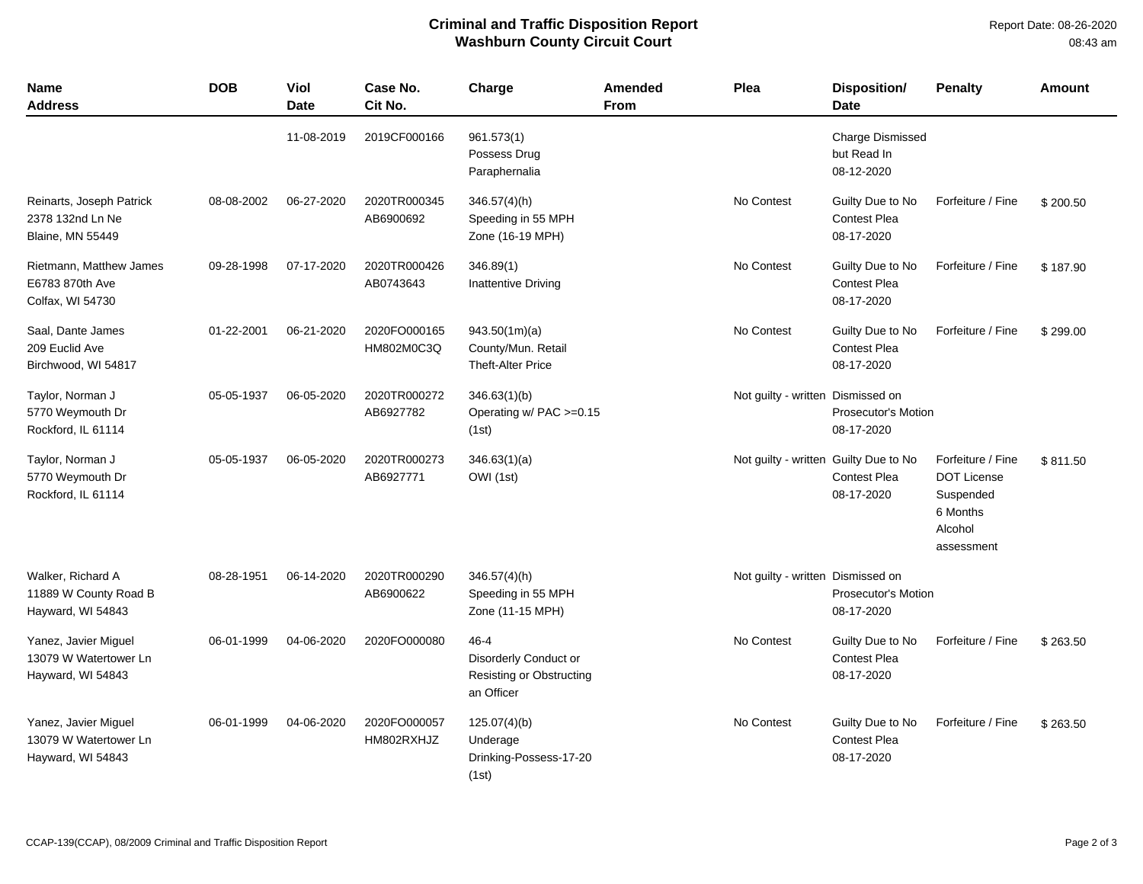## **Criminal and Traffic Disposition Report Washburn County Circuit Court**

| Name<br><b>Address</b>                                                  | <b>DOB</b> | Viol<br><b>Date</b> | Case No.<br>Cit No.        | Charge                                                                             | <b>Amended</b><br>From | <b>Plea</b>                           | <b>Disposition/</b><br><b>Date</b>                    | <b>Penalty</b>                                                                            | <b>Amount</b> |
|-------------------------------------------------------------------------|------------|---------------------|----------------------------|------------------------------------------------------------------------------------|------------------------|---------------------------------------|-------------------------------------------------------|-------------------------------------------------------------------------------------------|---------------|
|                                                                         |            | 11-08-2019          | 2019CF000166               | 961.573(1)<br>Possess Drug<br>Paraphernalia                                        |                        |                                       | <b>Charge Dismissed</b><br>but Read In<br>08-12-2020  |                                                                                           |               |
| Reinarts, Joseph Patrick<br>2378 132nd Ln Ne<br><b>Blaine, MN 55449</b> | 08-08-2002 | 06-27-2020          | 2020TR000345<br>AB6900692  | $346.57(4)$ (h)<br>Speeding in 55 MPH<br>Zone (16-19 MPH)                          |                        | No Contest                            | Guilty Due to No<br>Contest Plea<br>08-17-2020        | Forfeiture / Fine                                                                         | \$200.50      |
| Rietmann, Matthew James<br>E6783 870th Ave<br>Colfax, WI 54730          | 09-28-1998 | 07-17-2020          | 2020TR000426<br>AB0743643  | 346.89(1)<br>Inattentive Driving                                                   |                        | No Contest                            | Guilty Due to No<br><b>Contest Plea</b><br>08-17-2020 | Forfeiture / Fine                                                                         | \$187.90      |
| Saal, Dante James<br>209 Euclid Ave<br>Birchwood, WI 54817              | 01-22-2001 | 06-21-2020          | 2020FO000165<br>HM802M0C3Q | 943.50(1m)(a)<br>County/Mun. Retail<br><b>Theft-Alter Price</b>                    |                        | No Contest                            | Guilty Due to No<br><b>Contest Plea</b><br>08-17-2020 | Forfeiture / Fine                                                                         | \$299.00      |
| Taylor, Norman J<br>5770 Weymouth Dr<br>Rockford, IL 61114              | 05-05-1937 | 06-05-2020          | 2020TR000272<br>AB6927782  | 346.63(1)(b)<br>Operating w/ PAC >=0.15<br>(1st)                                   |                        | Not guilty - written Dismissed on     | <b>Prosecutor's Motion</b><br>08-17-2020              |                                                                                           |               |
| Taylor, Norman J<br>5770 Weymouth Dr<br>Rockford, IL 61114              | 05-05-1937 | 06-05-2020          | 2020TR000273<br>AB6927771  | 346.63(1)(a)<br>OWI (1st)                                                          |                        | Not guilty - written Guilty Due to No | <b>Contest Plea</b><br>08-17-2020                     | Forfeiture / Fine<br><b>DOT License</b><br>Suspended<br>6 Months<br>Alcohol<br>assessment | \$811.50      |
| Walker, Richard A<br>11889 W County Road B<br>Hayward, WI 54843         | 08-28-1951 | 06-14-2020          | 2020TR000290<br>AB6900622  | 346.57(4)(h)<br>Speeding in 55 MPH<br>Zone (11-15 MPH)                             |                        | Not guilty - written Dismissed on     | Prosecutor's Motion<br>08-17-2020                     |                                                                                           |               |
| Yanez, Javier Miguel<br>13079 W Watertower Ln<br>Hayward, WI 54843      | 06-01-1999 | 04-06-2020          | 2020FO000080               | $46 - 4$<br>Disorderly Conduct or<br><b>Resisting or Obstructing</b><br>an Officer |                        | No Contest                            | Guilty Due to No<br><b>Contest Plea</b><br>08-17-2020 | Forfeiture / Fine                                                                         | \$263.50      |
| Yanez, Javier Miguel<br>13079 W Watertower Ln<br>Hayward, WI 54843      | 06-01-1999 | 04-06-2020          | 2020FO000057<br>HM802RXHJZ | 125.07(4)(b)<br>Underage<br>Drinking-Possess-17-20<br>(1st)                        |                        | No Contest                            | Guilty Due to No<br><b>Contest Plea</b><br>08-17-2020 | Forfeiture / Fine                                                                         | \$263.50      |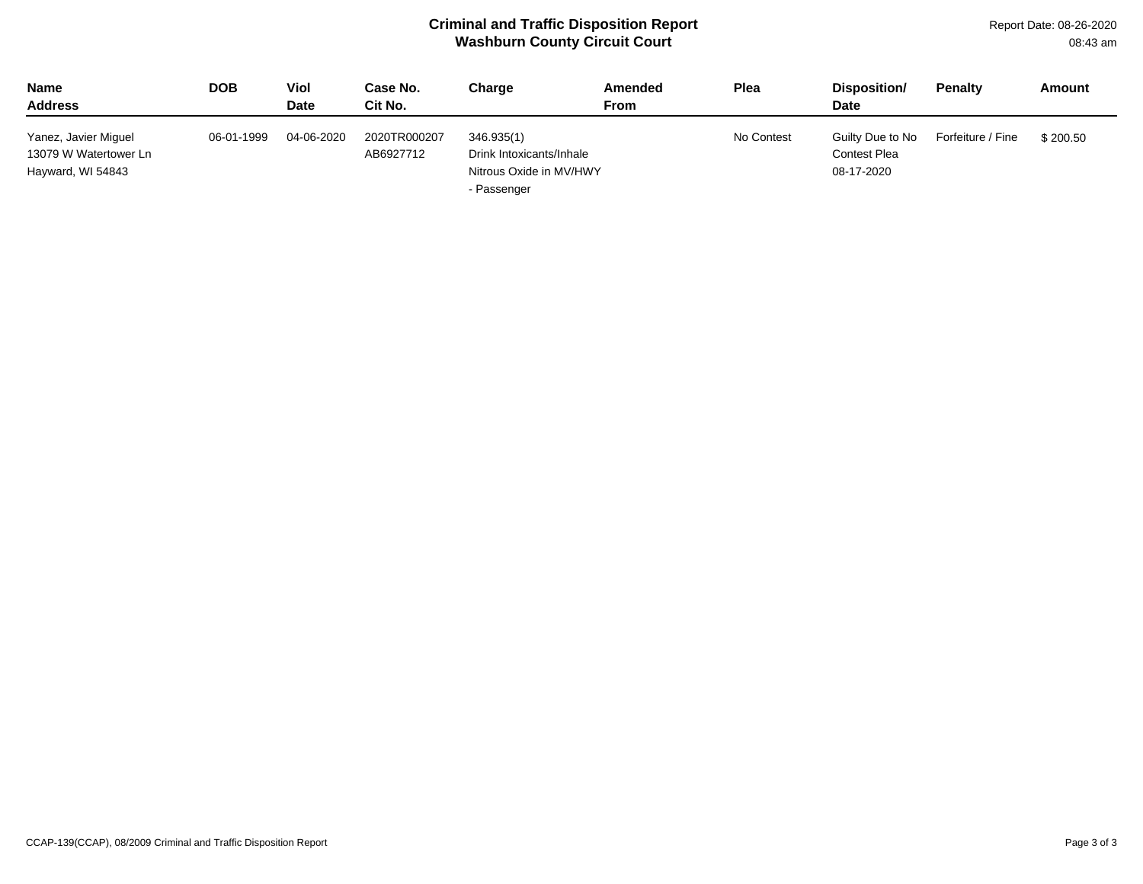## **Criminal and Traffic Disposition Report Washburn County Circuit Court**

| <b>Name</b><br><b>Address</b>                                      | DOB        | Viol<br><b>Date</b> | Case No.<br>Cit No.       | Charge                                                                           | Amended<br>From | <b>Plea</b> | Disposition/<br><b>Date</b>                           | <b>Penalty</b>    | Amount   |
|--------------------------------------------------------------------|------------|---------------------|---------------------------|----------------------------------------------------------------------------------|-----------------|-------------|-------------------------------------------------------|-------------------|----------|
| Yanez, Javier Miguel<br>13079 W Watertower Ln<br>Hayward, WI 54843 | 06-01-1999 | 04-06-2020          | 2020TR000207<br>AB6927712 | 346.935(1)<br>Drink Intoxicants/Inhale<br>Nitrous Oxide in MV/HWY<br>- Passenger |                 | No Contest  | Guilty Due to No<br><b>Contest Plea</b><br>08-17-2020 | Forfeiture / Fine | \$200.50 |